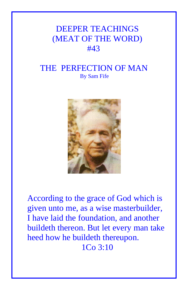# DEEPER TEACHINGS (MEAT OF THE WORD) #43

# THE PERFECTION OF MAN By Sam Fife



According to the grace of God which is given unto me, as a wise masterbuilder, I have laid the foundation, and another buildeth thereon. But let every man take heed how he buildeth thereupon. 1Co 3:10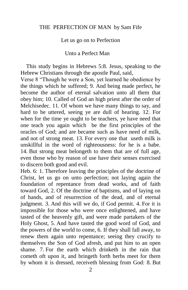#### THE PERFECTION OF MAN by Sam Fife

Let us go on to Perfection

Unto a Perfect Man

 This study begins in Hebrews 5:8. Jesus, speaking to the Hebrew Christians through the apostle Paul, said,

Verse 8 "Though he were a Son, yet learned he obedience by the things which he suffered; 9. And being made perfect, he become the author of eternal salvation unto all them that obey him; 10. Called of God an high priest after the order of Melchisedec. 11. Of whom we have many things to say, and hard to be uttered, seeing ye are dull of hearing. 12. For when for the time ye ought to be teachers, ye have need that one teach you again which be the first principles of the oracles of God; and are became such as have need of milk, and not of strong meat. 13. For every one that useth milk is unskillful in the word of righteousness: for he is a babe. 14. But strong meat belongeth to them that are of full age, even those who by reason of use have their senses exercised to discern both good and evil.

Heb. 6: 1. Therefore leaving the principles of the doctrine of Christ, let us go on unto perfection; not laying again the foundation of repentance from dead works, and of faith toward God, 2. Of the doctrine of baptisms, and of laying on of hands, and of resurrection of the dead, and of eternal judgment. 3. And this will we do, if God permit. 4. For it is impossible for those who were once enlightened, and have tasted of the heavenly gift, and were made partakers of the Holy Ghost, 5. And have tasted the good word of God, and the powers of the world to come, 6. If they shall fall away, to renew them again unto repentance; seeing they crucify to themselves the Son of God afresh, and put him to an open shame. 7. For the earth which drinketh in the rain that cometh oft upon it, and bringeth forth herbs meet for them by whom it is dressed, receiveth blessing from God: 8. But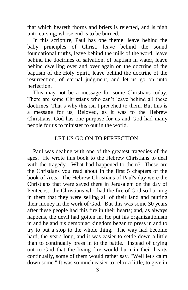that which beareth thorns and briers is rejected, and is nigh unto cursing; whose end is to be burned.

 In this scripture, Paul has one theme: leave behind the baby principles of Christ, leave behind the sound foundational truths, leave behind the milk of the word, leave behind the doctrines of salvation, of baptism in water, leave behind dwelling over and over again on the doctrine of the baptism of the Holy Spirit, leave behind the doctrine of the resurrection, of eternal judgment, and let us go on unto perfection.

 This may not be a message for some Christians today. There are some Christians who can't leave behind all these doctrines. That's why this isn't preached to them. But this is a message for us, Beloved, as it was to the Hebrew Christians. God has one purpose for us and God had many people for us to minister to out in the world.

## LET US GO ON TO PERFECTION!

 Paul was dealing with one of the greatest tragedies of the ages. He wrote this book to the Hebrew Christians to deal with the tragedy. What had happened to them? These are the Christians you read about in the first 5 chapters of the book of Acts. The Hebrew Christians of Paul's day were the Christians that were saved there in Jerusalem on the day of Pentecost; the Christians who had the fire of God so burning in them that they were selling all of their land and putting their money in the work of God. But this was some 30 years after these people had this fire in their hearts; and, as always happens, the devil had gotten in. He put his organizationism in and he and his demoniac kingdom began to press in and to try to put a stop to the whole thing. The way had become hard, the years long, and it was easier to settle down a little than to continually press in to the battle. Instead of crying out to God that the living fire would burn in their hearts continually, some of them would rather say, "Well let's calm down some." It was so much easier to relax a little, to give in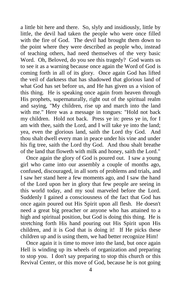a little bit here and there. So, slyly and insidiously, little by little, the devil had taken the people who were once filled with the fire of God. The devil had brought them down to the point where they were described as people who, instead of teaching others, had need themselves of the very basic Word. Oh, Beloved, do you see this tragedy? God wants us to see it as a warning because once again the Word of God is coming forth in all of its glory. Once again God has lifted the veil of darkness that has shadowed that glorious land of what God has set before us, and He has given us a vision of this thing. He is speaking once again from heaven through His prophets, supernaturally, right out of the spiritual realm and saying, "My children, rise up and march into the land with me." Here was a message in tongues: "Hold not back my children. Hold not back. Press ye in: press ye in, for I am with thee, saith the Lord, and I will take ye into the land; yea, even the glorious land, saith the Lord thy God. And thou shalt dwell every man in peace under his vine and under his fig tree, saith the Lord thy God. And thou shalt breathe of the land that floweth with milk and honey, saith the Lord."

 Once again the glory of God is poured out. I saw a young girl who came into our assembly a couple of months ago, confused, discouraged, in all sorts of problems and trials, and I saw her stand here a few moments ago, and I saw the hand of the Lord upon her in glory that few people are seeing in this world today, and my soul marveled before the Lord. Suddenly I gained a consciousness of the fact that God has once again poured out His Spirit upon all flesh. He doesn't need a great big preacher or anyone who has attained to a high and spiritual position, but God is doing this thing. He is stretching forth His hand pouring out His Spirit upon His children, and it is God that is doing it! If He picks these children up and is using them, we had better recognize Him!

 Once again it is time to move into the land, but once again Hell is winding up its wheels of organization and preparing to stop you. I don't say preparing to stop this church or this Revival Center, or this move of God, because he is not going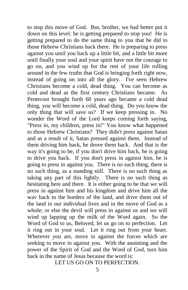to stop this move of God. But, brother, we had better put it down on this level: he is getting prepared to stop you! He is getting prepared to do the same thing to you that he did to those Hebrew Christians back there. He is preparing to press against you until you back up a little bit, and a little bit more until finally your soul and your spirit have not the courage to go on, and you wind up for the rest of your life rolling around in the few truths that God is bringing forth right now, instead of going on into all the glory. I've seen Hebrew Christians become a cold, dead thing. You can become as cold and dead as the first century Christians became. As Pentecost brought forth 60 years ago became a cold dead thing, you will become a cold, dead thing. Do you know the only thing that will save us? If we keep pressing in. No wonder the Word of the Lord keeps coming forth saying, "Press in, my children, press in!" You know what happened to those Hebrew Christians? They didn't press against Satan and as a result of it, Satan pressed against them. Instead of them driving him back, he drove them back. And that is the way it's going to be, if you don't drive him back, he is going to drive you back. If you don't press in against him, he is going to press in against you. There is no such thing, there is no such thing, as a standing still. There is no such thing as taking any part of this lightly. There is no such thing as hesitating here and there. It is either going to be that we will press in against him and his kingdom and drive him all the wav back to the borders of the land, and drive them out of the land in our individual lives and in the move of God as a whole; or else the devil will press in against us and we will wind up lapping up the milk of the Word again. So the Word of God to us, Beloved, let us go on to perfection. Let it ring out in your soul. Let it ring out from your heart. Wherever you are, move in against the forces which are seeking to move in against you. With the anointing and the power of the Spirit of God and the Word of God, turn him back in the name of Jesus because the word is:

LET US GO ON TO PERFECTION.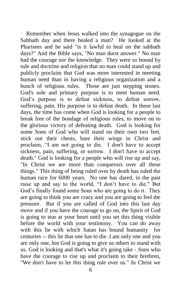Remember when Jesus walked into the synagogue on the Sabbath day and there healed a man? He looked at the Pharisees and he said "is it lawful to heal on the sabbath days?" And the Bible says, "No man durst answer." No man had the courage nor the knowledge. They were so bound by rule and doctrine and religion that no man could stand up and publicly proclaim that God was more interested in meeting human need than in having a religious organization and a bunch of religious rules. Those are just stepping stones. God's sole and primary purpose is to meet human need. God's purpose is to defeat sickness, to defeat sorrow, suffering, pain. His purpose is to defeat death. In these last days, the time has come when God is looking for a people to break free of the bondage of religious rules, to move on to the glorious victory of defeating death. God is looking for some Sons of God who will stand on their own two feet, stick out their chests, bare their wings in Christ and proclaim, "I am not going to die. I don't have to accept sickness, pain, suffering, or sorrow. I don't have to accept death." God is looking for a people who will rise up and say, "In Christ we are more than conquerors over all these things." This thing of being ruled over by death has ruled the human race for 6000 years. No one has dared, in the past raise up and say to the world, "I don't have to die." But God's finally found some Sons who are going to do it. They are going to think you are crazy and you are going to feel the pressure. But if you are called of God into this last day move and if you have the courage to go on, the Spirit of God is going to tear at your heart until you set this thing visible before the world with your testimony. You can do away with this lie with which Satan has bound humanity for centuries -- this lie that one has to die. I am only one and you are only one, but God is going to give us others to stand with us. God is looking and that's what it's going take - Sons who have the courage to rise up and proclaim to their brethren, "We don't have to let this thing rule over us." In Christ we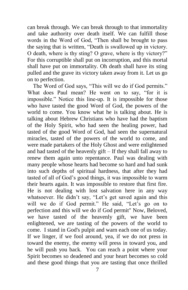can break through. We can break through to that immortality and take authority over death itself. We can fulfill those words in the Word of God, "Then shall be brought to pass the saying that is written, "Death is swallowed up in victory. O death, where is thy sting? O grave, where is thy victory?" For this corruptible shall put on incorruption, and this mortal shall have put on immortality. Oh death shall have its sting pulled and the grave its victory taken away from it. Let us go on to perfection.

 The Word of God says, "This will we do if God permits." What does Paul mean? He went on to say, "for it is impossible." Notice this line-up. It is impossible for those who have tasted the good Word of God, the powers of the world to come. You know what he is talking about. He is talking about Hebrew Christians who have had the baptism of the Holy Spirit, who had seen the healing power, had tasted of the good Word of God, had seen the supernatural miracles, tasted of the powers of the world to come, and were made partakers of the Holy Ghost and were enlightened and had tasted of the heavenly gift – If they shall fall away to renew them again unto repentance. Paul was dealing with many people whose hearts had become so hard and had sunk into such depths of spiritual hardness, that after they had tasted of all of God's good things, it was impossible to warm their hearts again. It was impossible to restore that first fire. He is not dealing with lost salvation here in any way whatsoever. He didn't say, "Let's get saved again and this will we do if God permit." He said, "Let's go on to perfection and this will we do if God permit" Now, Beloved, we have tasted of the heavenly gift, we have been enlightened, we are tasting of the powers of the world to come. I stand in God's pulpit and warn each one of us today. If we linger, if we fool around, yea, if we do not press in toward the enemy, the enemy will press in toward you, and he will push you back. You can reach a point where your Spirit becomes so deadened and your heart becomes so cold and these good things that you are tasting that once thrilled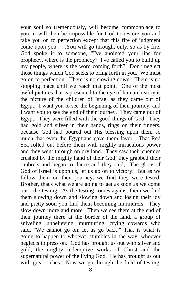your soul so tremendously, will become commonplace to you. it will then be impossible for God to restore you and take you on to perfection except that this fire of judgment come upon you . . .You will go through, only, so as by fire. God spoke it to someone, "I've anointed your lips for prophecy, where is the prophecy? I've called you to build up my people, where is the word coming forth?" Don't neglect those things which God seeks to bring forth in you. We must go on to perfection. There is no slowing down. There is no stopping place until we reach that point. One of the most awful pictures that is presented to the eye of human history is the picture of the children of Israel as they came out of Egypt. I want you to see the beginning of their journey, and I want you to see the end of their journey. They came out of Egypt. They were filled with the good things of God. They had gold and silver in their hands, rings on their fingers, because God had poured out His blessing upon them so much that even the Egyptians gave them favor. That Red Sea rolled out before them with mighty miraculous power and they went through on dry land. They saw their enemies crushed by the mighty hand of their God; they grabbed their timbrels and began to dance and they said, "The glory of God of Israel is upon us, let us go on to victory. But as we follow them on their journey, we find they were tested. Brother, that's what we are going to get as soon as we come out - the testing. As the testing comes against them we find them slowing down and slowing down and losing their joy and pretty soon you find them becoming murmurers. They slow down more and more. Then we see them at the end of their journey there at the border of the land, a group of sniveling, unbelieving, murmuring, crying cowards who said, "We cannot go on; let us go back!" That is what is going to happen to whoever stumbles in the way, whoever neglects to press on. God has brought us out with silver and gold, the mighty redemptive works of Christ and the supernatural power of the living God. He has brought us out with great riches. Now we go through the field of testing.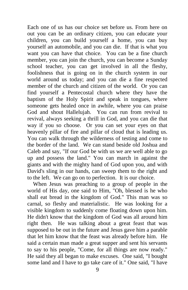Each one of us has our choice set before us. From here on out you can be an ordinary citizen, you can educate your children, you can build yourself a home, you can buy yourself an automobile, and you can die. If that is what you want you can have that choice. You can be a fine church member, you can join the church, you can become a Sunday school teacher, you can get involved in all the fleshy, foolishness that is going on in the church system in our world around us today; and you can die a fine respected member of the church and citizen of the world. Or you can find yourself a Pentecostal church where they have the baptism of the Holy Spirit and speak in tongues, where someone gets healed once in awhile, where you can praise God and shout Hallelujah. You can run from revival to revival, always seeking a thrill in God, and you can die that way if you so choose. Or you can set your eyes on that heavenly pillar of fire and pillar of cloud that is leading us. You can walk through the wilderness of testing and come to the border of the land. We can stand beside old Joshua and Caleb and say, "If our God be with us we are well able to go up and possess the land." You can march in against the giants and with the mighty hand of God upon you, and with David's sling in our hands, can sweep them to the right and to the left. We can go on to perfection. It is our choice.

 When Jesus was preaching to a group of people in the world of His day, one said to Him, "Oh, blessed is he who shall eat bread in the kingdom of God." This man was so carnal, so fleshy and materialistic. He was looking for a visible kingdom to suddenly come floating down upon him. He didn't know that the kingdom of God was all around him right then. He was talking about a great feast that was supposed to be out in the future and Jesus gave him a parable that let him know that the feast was already before him. He said a certain man made a great supper and sent his servants to say to his people, "Come, for all things are now ready." He said they all began to make excuses. One said, "I bought some land and I have to go take care of it." One said, "I have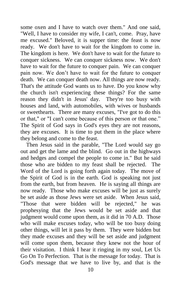some oxen and I have to watch over them." And one said, "Well, I have to consider my wife, I can't, come. Pray, have me excused." Beloved, it is supper time: the feast is now ready. We don't have to wait for the kingdom to come in. The kingdom is here. We don't have to wait for the future to conquer sickness. We can conquer sickness now. We don't have to wait for the future to conquer pain. We can conquer pain now. We don't have to wait for the future to conquer death. We can conquer death now. All things are now ready. That's the attitude God wants us to have. Do you know why the church isn't experiencing these things? For the same reason they didn't in Jesus' day. They're too busy with houses and land, with automobiles, with wives or husbands or sweethearts. There are many excuses, "I've got to do this or that," or "I can't come because of this person or that one." The Spirit of God says in God's eyes they are not reasons, they are excuses. It is time to put them in the place where they belong and come to the feast.

 Then Jesus said in the parable, "The Lord would say go out and get the lame and the blind. Go out in the highways and hedges and compel the people to come in." But he said those who are bidden to my feast shall be rejected. The Word of the Lord is going forth again today. The move of the Spirit of God is in the earth. God is speaking not just from the earth, but from heaven. He is saying all things are now ready. Those who make excuses will be just as surely be set aside as those Jews were set aside. When Jesus said, "Those that were bidden will be rejected," he was prophesying that the Jews would be set aside and that judgment would come upon them, as it did in 70 A.D. Those who will make excuses today, who will be too busy doing other things, will let it pass by them. They were bidden but they made excuses and they will be set aside and judgment will come upon them, because they knew not the hour of their visitation. I think I hear it ringing in my soul, Let Us Go On To Perfection. That is the message for today. That is God's message that we have to live by, and that is the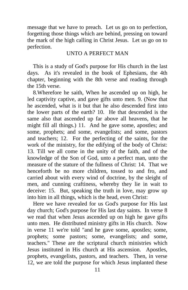message that we have to preach. Let us go on to perfection, forgetting those things which are behind, pressing on toward the mark of the high calling in Christ Jesus. Let us go on to perfection.

### UNTO A PERFECT MAN

 This is a study of God's purpose for His church in the last days. As it's revealed in the book of Ephesians, the 4th chapter, beginning with the 8th verse and reading through the 15th verse.

 8.Wherefore he saith, When he ascended up on high, he led captivity captive, and gave gifts unto men. 9. (Now that he ascended, what is it but that he also descended first into the lower parts of the earth? 10. He that descended is the same also that ascended up far above all heavens, that he might fill all things.) 11. And he gave some, apostles; and some, prophets; and some, evangelists; and some, pastors and teachers; 12. For the perfecting of the saints, for the work of the ministry, for the edifying of the body of Christ: 13. Till we all come in the unity of the faith, and of the knowledge of the Son of God, unto a perfect man, unto the measure of the stature of the fullness of Christ: 14. That we henceforth be no more children, tossed to and fro, and carried about with every wind of doctrine, by the sleight of men, and cunning craftiness, whereby they lie in wait to deceive: 15. But, speaking the truth in love, may grow up into him in all things, which is the head, even Christ:

 Here we have revealed for us God's purpose for His last day church; God's purpose for His last day saints. In verse 8 we read that when Jesus ascended up on high he gave gifts unto men. He distributed ministry gifts in His church. Now in verse 11 we're told "and he gave some, apostles; some, prophets; some pastors; some, evangelists; and some, teachers." These are the scriptural church ministries which Jesus instituted in His church at His ascension. Apostles, prophets, evangelists, pastors, and teachers. Then, in verse 12, we are told the purpose for which Jesus implanted these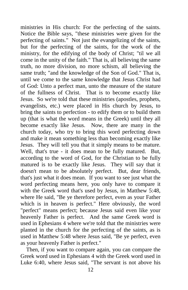ministries in His church: For the perfecting of the saints. Notice the Bible says, "these ministries were given for the perfecting of saints." Not just the evangelizing of the saints, but for the perfecting of the saints, for the work of the ministry, for the edifying of the body of Christ; "til we all come in the unity of the faith." That is, all believing the same truth, no more division, no more schism, all believing the same truth; "and the knowledge of the Son of God." That is, until we come to the same knowledge that Jesus Christ had of God: Unto a perfect man, unto the measure of the stature of the fullness of Christ. That is to become exactly like Jesus. So we're told that these ministries (apostles, prophets, evangelists, etc.) were placed in His church by Jesus, to bring the saints to perfection - to edify them or to build them up (that is what the word means in the Greek) until they all become exactly like Jesus. Now, there are many in the church today, who try to bring this word perfecting down and make it mean something less than becoming exactly like Jesus. They will tell you that it simply means to be mature. Well, that's true - it does mean to be fully matured. But, according to the word of God, for the Christian to be fully matured is to be exactly like Jesus. They will say that it doesn't mean to be absolutely perfect. But, dear friends, that's just what it does mean. If you want to see just what the word perfecting means here, you only have to compare it with the Greek word that's used by Jesus, in Matthew 5:48, where He said, "Be ye therefore perfect, even as your Father which is in heaven is perfect." Here obviously, the word "perfect" means perfect; because Jesus said even like your heavenly Father is perfect. And the same Greek word is used in Ephesians 4 where we're told that the ministries were planted in the church for the perfecting of the saints, as is used in Matthew 5:48 where Jesus said, "Be ye perfect, even as your heavenly Father is perfect."

 Then, if you want to compare again, you can compare the Greek word used in Ephesians 4 with the Greek word used in Luke 6:40, where Jesus said, "The servant is not above his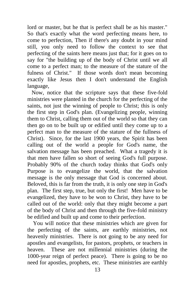lord or master, but he that is perfect shall be as his master." So that's exactly what the word perfecting means here, to come to perfection, Then if there's any doubt in your mind still, you only need to follow the context to see that perfecting of the saints here means just that; for it goes on to say for "the building up of the body of Christ until we all come to a perfect man; to the measure of the stature of the fulness of Christ." If those words don't mean becoming exactly like Jesus then I don't understand the English language,

 Now, notice that the scripture says that these five-fold ministries were planted in the church for the perfecting of the saints, not just the winning of people to Christ; this is only the first step in God's plan. (Evangelizing people, winning them to Christ, calling them out of the world so that they can then go on to be built up or edified until they come up to a perfect man to the measure of the stature of the fullness of Christ). Since, for the last 1900 years, the Spirit has been calling out of the world a people for God's name, the salvation message has been preached. What a tragedy it is that men have fallen so short of seeing God's full purpose. Probably 90% of the church today thinks that God's only Purpose is to evangelize the world, that the salvation message is the only message that God is concerned about. Beloved, this is far from the truth, it is only one step in God's plan. The first step, true, but only the first! Men have to be evangelized, they have to be won to Christ, they have to be called out of the world: only that they might become a part of the body of Christ and then through the five-fold ministry be edified and built up and come to their perfection.

 You will notice that these ministries which are given for the perfecting of the saints, are earthly ministries, not heavenly ministries. There is not going to be any need for apostles and evangelists, for pastors, prophets, or teachers in heaven. These are not millennial ministries (during the 1000-year reign of perfect peace). There is going to be no need for apostles, prophets, etc. These ministries are earthly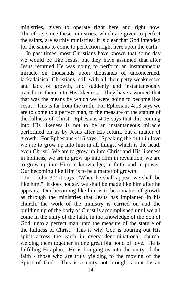ministries, given to operate right here and right now. Therefore, since these ministries, which are given to perfect the saints, are earthly ministries; it is clear that God intended for the saints to come to perfection right here upon the earth.

 In past times, most Christians have known that some day we would be like Jesus, but they have assumed that after Jesus returned He was going to perform an instantaneous miracle on thousands upon thousands of unconcerned, lackadaisical Christians, still with all their petty weaknesses and lack of growth, and suddenly and instantaneously transform them into His likeness. They have assumed that that was the means by which we were going to become like Jesus. This is far from the truth. For Ephesians 4:13 says we are to come to a perfect man, to the measure of the stature of the fullness of Christ. Ephesians 4:15 says that this coming into His likeness is not to be an instantaneous miracle performed on us by Jesus after His return, but a matter of growth. For Ephesians 4:15 says, "Speaking the truth in love we are to grow up into him in all things, which is the head, even Christ." We are to grow up into Christ and His likeness in holiness, we are to grow up into Him in revelation, we are to grow up into Him in knowledge, in faith, and in power. Our becoming like Him is to be a matter of growth.

 In 1 John 3:2 it says, "When he shall appear we shall be like him." It does not say we shall be made like him after he appears. Our becoming like him is to be a matter of growth as through the ministries that Jesus has implanted in his church, the work of the ministry is carried on and the building up of the body of Christ is accomplished until we all come in the unity of the faith, in the knowledge of the Son of God, unto a perfect man unto the measure of the stature of the fullness of Christ. This is why God is pouring out His spirit across the earth in every denominational church, welding them together in one great big bond of love. He is fulfilling His plan. He is bringing us into the unity of the faith - those who are truly yielding to the moving of the Spirit of God. This is a unity not brought about by an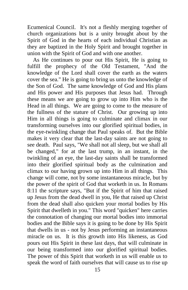Ecumenical Council. It's not a fleshly merging together of church organizations but is a unity brought about by the Spirit of God in the hearts of each individual Christian as they are baptized in the Holy Spirit and brought together in union with the Spirit of God and with one another.

 As He continues to pour out His Spirit, He is going to fulfill the prophecy of the Old Testament, "And the knowledge of the Lord shall cover the earth as the waters cover the sea." He is going to bring us unto the knowledge of the Son of God. The same knowledge of God and His plans and His power and His purposes that Jesus had. Through these means we are going to grow up into Him who is the Head in all things. We are going to come to the measure of the fullness of the stature of Christ. Our growing up into Him in all things is going to culminate and climax in our transforming ourselves into our glorified spiritual bodies, in the eye-twinkling change that Paul speaks of. But the Bible makes it very clear that the last-day saints are not going to see death. Paul says, "We shall not all sleep, but we shall all be changed," for at the last trump, in an instant, in the twinkling of an eye, the last-day saints shall be transformed into their glorified spiritual body as the culmination and climax to our having grown up into Him in all things. This change will come, not by some instantaneous miracle, but by the power of the spirit of God that worketh in us. In Romans 8:11 the scripture says, "But if the Spirit of him that raised up Jesus from the dead dwell in you, He that raised up Christ from the dead shall also quicken your mortal bodies by His Spirit that dwelleth in you." This word "quicken" here carries the connotation of changing our mortal bodies into immortal bodies and the Bible says it is going to be done by His Spirit that dwells in us - not by Jesus performing an instantaneous miracle on us. It is this growth into His likeness, as God pours out His Spirit in these last days, that will culminate in our being transformed into our glorified spiritual bodies. The power of this Spirit that worketh in us will enable us to speak the word of faith ourselves that will cause us to rise up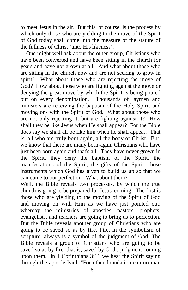to meet Jesus in the air. But this, of course, is the process by which only those who are yielding to the move of the Spirit of God today shall come into the measure of the stature of the fullness of Christ (unto His likeness).

 One might well ask about the other group, Christians who have been converted and have been sitting in the church for years and have not grown at all. And what about those who are sitting in the church now and are not seeking to grow in spirit? What about those who are rejecting the move of God? How about those who are fighting against the move or denying the great move by which the Spirit is being poured out on every denomination. Thousands of laymen and ministers are receiving the baptism of the Holy Spirit and moving on- with the Spirit of God. What about those who are not only rejecting it, but are fighting against it? How shall they be like Jesus when He shall appear? For the Bible does say we shall all be like him when he shall appear. That is, all who are truly born again, all the body of Christ. But, we know that there are many born-again Christians who have just been born again and that's all. They have never grown in the Spirit, they deny the baptism of the Spirit, the manifestations of the Spirit, the gifts of the Spirit; those instruments which God has given to build us up so that we can come to our perfection. What about them?

Well, the Bible reveals two processes, by which the true church is going to be prepared for Jesus' coming. The first is those who are yielding to the moving of the Spirit of God and moving on with Him as we have just pointed out; whereby the ministries of apostles, pastors, prophets, evangelists, and teachers are going to bring us to perfection. But the Bible reveals another group of Christians who are going to be saved so as by fire. Fire, in the symbolism of scripture, always is a symbol of the judgment of God. The Bible reveals a group of Christians who are going to be saved so as by fire, that is, saved by God's judgment coming upon them. In 1 Corinthians 3:11 we hear the Spirit saying through the apostle Paul, "For other foundation can no man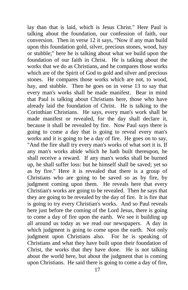lay than that is laid, which is Jesus Christ." Here Paul is talking about the foundation, our confession of faith, our conversion. Then in verse 12 it says, "Now if any man build upon this foundation gold, silver, precious stones, wood, hay or stubble;" here he is talking about what we build upon the foundation of our faith in Christ. He is talking about the works that we do as Christians, and he compares those works which are of the Spirit of God to gold and silver and precious stones. He compares those works which are not, to wood, hay, and stubble. Then he goes on in verse 13 to say that every man's works shall be made manifest. Bear in mind that Paul is talking about Christians here, those who have already laid the foundation of Christ. He is talking to the Corinthian Christians. He says, every man's work shall be made manifest or revealed, for the day shall declare it, because it shall be revealed by fire. Now Paul says there is going to come a day that is going to reveal every man's works and it is going to be a day of fire. He goes on to say, "And the fire shall try every man's works of what sort it is. If any man's works abide which he hath built thereupon, he shall receive a reward. If any man's works shall be burned up, he shall suffer loss: but he himself shall be saved; yet so as by fire." Here it is revealed that there is a group of Christians who are going to be saved so as by fire, by judgment coming upon them. He reveals here that every Christian's works are going to be revealed. Then he says that they are going to be revealed by the day of fire. It is fire that is going to try every Christian's works. And so Paul reveals here just before the coming of the Lord Jesus, there is going to come a day of fire upon the earth. We see it building up all around us today as we read our newspapers. A day in which judgment is going to come upon the earth. Not only judgment upon Christians also. For he is speaking of Christians and what they have built upon their foundation of Christ, the works that they have done. He is not talking about the world here, but about the judgment that is coming upon Christians. He said there is going to come a day of fire,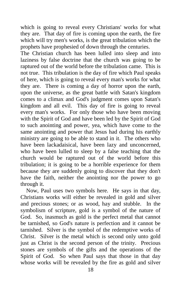which is going to reveal every Christians' works for what they are. That day of fire is coming upon the earth, the fire which will try men's works, is the great tribulation which the prophets have prophesied of down through the centuries.

The Christian church has been lulled into sleep and into laziness by false doctrine that the church was going to be raptured out of the world before the tribulation came. This is not true. This tribulation is the day of fire which Paul speaks of here, which is going to reveal every man's works for what they are. There is coming a day of horror upon the earth, upon the universe, as the great battle with Satan's kingdom comes to a climax and God's judgment comes upon Satan's kingdom and all evil. This day of fire is going to reveal every man's works. For only those who have been moving with the Spirit of God and have been led by the Spirit of God to such anointing and power, yea, which have come to the same anointing and power that Jesus had during his earthly ministry are going to be able to stand in it. The others who have been lackadaisical, have been lazy and unconcerned, who have been lulled to sleep by a false teaching that the church would be raptured out of the world before this tribulation; it is going to be a horrible experience for them because they are suddenly going to discover that they don't have the faith, neither the anointing nor the power to go through it.

 Now, Paul uses two symbols here. He says in that day, Christians works will either be revealed in gold and silver and precious stones; or as wood, hay and stubble. In the symbolism of scripture, gold is a symbol of the nature of God. So, inasmuch as gold is the perfect metal that cannot be tarnished, so God's nature is perfection and it cannot be tarnished. Silver is the symbol of the redemptive works of Christ. Silver is the metal which is second only unto gold just as Christ is the second person of the trinity. Precious stones are symbols of the gifts and the operations of the Spirit of God. So when Paul says that those in that day whose works will be revealed by the fire as gold and silver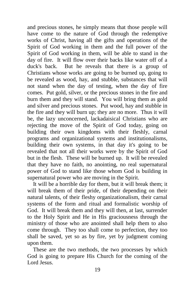and precious stones, he simply means that those people will have come to the nature of God through the redemptive works of Christ, having all the gifts and operations of the Spirit of God working in them and the full power of the Spirit of God working in them, will be able to stand in the day of fire. It will flow over their backs like water off of a duck's back. But he reveals that there is a group of Christians whose works are going to be burned up, going to be revealed as wood, hay, and stubble, substances that will not stand when the day of testing, when the day of fire comes. Put gold, silver, or the precious stones in the fire and burn them and they will stand. You will bring them as gold and silver and precious stones. Put wood, hay and stubble in the fire and they will burn up; they are no more. Thus it will be, the lazy unconcerned, lackadaisical Christians who are rejecting the move of the Spirit of God today, going on building their own kingdoms with their fleshly, carnal programs and organizational systems and institutionalisms, building their own systems, in that day it's going to be revealed that not all their works were by the Spirit of God but in the flesh. These will be burned up. It will be revealed that they have no faith, no anointing, no real supernatural power of God to stand like those whom God is building in supernatural power who are moving in the Spirit.

 It will be a horrible day for them, but it will break them; it will break them of their pride, of their depending on their natural talents, of their fleshy organizationalism, their carnal systems of the form and ritual and formalistic worship of God. It will break them and they will then, at last, surrender to the Holy Spirit and He in His graciousness through the ministry of those who are anointed shall help them to also come through. They too shall come to perfection, they too shall be saved, yet so as by fire, yet by judgment coming upon them.

 These are the two methods, the two processes by which God is going to prepare His Church for the coming of the Lord Jesus.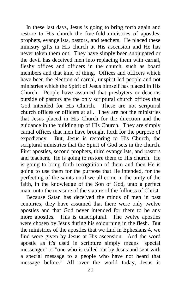In these last days, Jesus is going to bring forth again and restore to His church the five-fold ministries of apostles, prophets, evangelists, pastors, and teachers. He placed these ministry gifts in His church at His ascension and He has never taken them out. They have simply been subjugated or the devil has deceived men into replacing them with carnal, fleshy offices and officers in the church, such as board members and that kind of thing. Offices and officers which have been the election of carnal, unspirit-led people and not ministries which the Spirit of Jesus himself has placed in His Church. People have assumed that presbyters or deacons outside of pastors are the only scriptural church offices that God intended for His Church. These are not scriptural church offices or officers at all. They are not the ministries that Jesus placed in His Church for the direction and the guidance in the building up of His Church. They are simply carnal offices that men have brought forth for the purpose of expediency. But, Jesus is restoring to His Church, the scriptural ministries that the Spirit of God sets in the church. First apostles, second prophets, third evangelists, and pastors and teachers. He is going to restore them to His church. He is going to bring forth recognition of them and then He is going to use them for the purpose that He intended, for the perfecting of the saints until we all come in the unity of the faith, in the knowledge of the Son of God, unto a perfect man, unto the measure of the stature of the fullness of Christ.

 Because Satan has deceived the minds of men in past centuries, they have assumed that there were only twelve apostles and that God never intended for there to be any more apostles. This is unscriptural. The twelve apostles were chosen by Jesus during his sojourning in the flesh. But the ministries of the apostles that we find in Ephesians 4, we find were given by Jesus at His ascension. And the word apostle as it's used in scripture simply means "special messenger" or "one who is called out by Jesus and sent with a special message to a people who have not heard that message before." All over the world today, Jesus is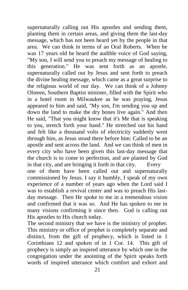supernaturally calling out His apostles and sending them, planting them in certain areas, and giving them the last-day message, which has not been heard yet by the people in that area. We can think in terms of an Oral Roberts. When he was 17 years old he heard the audible voice of God saying, "My son, I will send you to preach my message of healing to this generation." He was sent forth as an apostle, supernaturally called out by Jesus and sent forth to preach the divine healing message, which came as a great surprise to the religious world of our day. We can think of a Johnny Olsteen, Southern Baptist minister, filled with the Spirit who in a hotel room in Milwaukee as he was praying, Jesus appeared to him and said, "My son, I'm sending you up and down the land to make the dry bones live again." And then He said, "That you might know that it's Me that is speaking to you, stretch forth your hand." He stretched out his hand and felt like a thousand volts of electricity suddenly went through him, as Jesus stood there before him: Called to be an apostle and sent across the land. And we can think of men in every city who have been given this last-day message that the church is to come to perfection, and are planted by God in that city, and are bringing it forth in that city. Every one of them have been called out and supernaturally commissioned by Jesus. I say it humbly, I speak of my own experience of a number of years ago when the Lord said I was to establish a revival center and was to preach His lastday message. Then He spoke to me in a tremendous vision and confirmed that it was so. And He has spoken to me in many visions confirming it since then. God is calling out His apostles to His church today.

The second ministry that we have is the ministry of prophet. This ministry or office of prophet is completely separate and distinct, from the gift of prophecy, which is listed in 1 Corinthians 12 and spoken of in 1 Cor. 14. This gift of prophecy is simply an inspired utterance by which one in the congregation under the anointing of the Spirit speaks forth words of inspired utterance which comfort and exhort and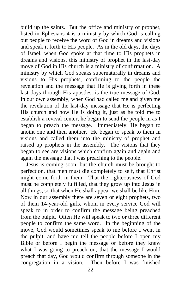build up the saints. But the office and ministry of prophet, listed in Ephesians 4 is a ministry by which God is calling out people to receive the word of God in dreams and visions and speak it forth to His people. As in the old days, the days of Israel, when God spoke at that time to His prophets in dreams and visions, this ministry of prophet in the last-day move of God in His church is a ministry of confirmation. A ministry by which God speaks supernaturally in dreams and visions to His prophets, confirming to the people the revelation and the message that He is giving forth in these last days through His apostles, is the true message of God. In our own assembly, when God had called me and given me the revelation of the last-day message that He is perfecting His church and how He is doing it, just as he told me to establish a revival center, he began to send the people in as I began to preach the message. Immediately, He began to anoint one and then another. He began to speak to them in visions and called them into the ministry of prophet and raised up prophets in the assembly. The visions that they began to see are visions which confirm again and again and again the message that I was preaching to the people.

 Jesus is coming soon, but the church must be brought to perfection, that men must die completely to self, that Christ might come forth in them. That the righteousness of God must be completely fulfilled, that they grow up into Jesus in all things, so that when He shall appear we shall be like Him. Now in our assembly there are seven or eight prophets, two of them 14-year-old girls, whom in every service God will speak to in order to confirm the message being preached from the pulpit. Often He will speak to two or three different people to confirm the same word. In the beginning of the move, God would sometimes speak to me before I went in the pulpit, and have me tell the people before I open my Bible or before I begin the message or before they knew what I was going to preach on, that the message I would preach that day, God would confirm through someone in the congregation in a vision. Then before I was finished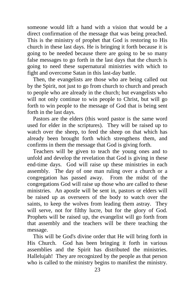someone would lift a hand with a vision that would be a direct confirmation of the message that was being preached. This is the ministry of prophet that God is restoring to His church in these last days. He is bringing it forth because it is going to be needed because there are going to be so many false messages to go forth in the last days that the church is going to need these supernatural ministries with which to fight and overcome Satan in this last-day battle.

 Then, the evangelists are those who are being called out by the Spirit, not just to go from church to church and preach to people who are already in the church; but evangelists who will not only continue to win people to Christ, but will go forth to win people to the message of God that is being sent forth in the last days.

 Pastors are the elders (this word pastor is the same word used for elder in the scriptures). They will be raised up to watch over the sheep, to feed the sheep on that which has already been brought forth which strengthens them, and confirms in them the message that God is giving forth.

 Teachers will be given to teach the young ones and to unfold and develop the revelation that God is giving in these end-time days. God will raise up these ministries in each assembly. The day of one man ruling over a church or a congregation has passed away. From the midst of the congregations God will raise up those who are called to these ministries. An apostle will be sent in, pastors or elders will be raised up as overseers of the body to watch over the saints, to keep the wolves from leading them astray. They will serve, not for filthy lucre, but for the glory of God. Prophets will be raised up, the evangelist will go forth from that assembly and the teachers will be there teaching the message.

 This will be God's divine order that He will bring forth in His Church. God has been bringing it forth in various assemblies and the Spirit has distributed the ministries. Hallelujah! They are recognized by the people as that person who is called to the ministry begins to manifest the ministry.